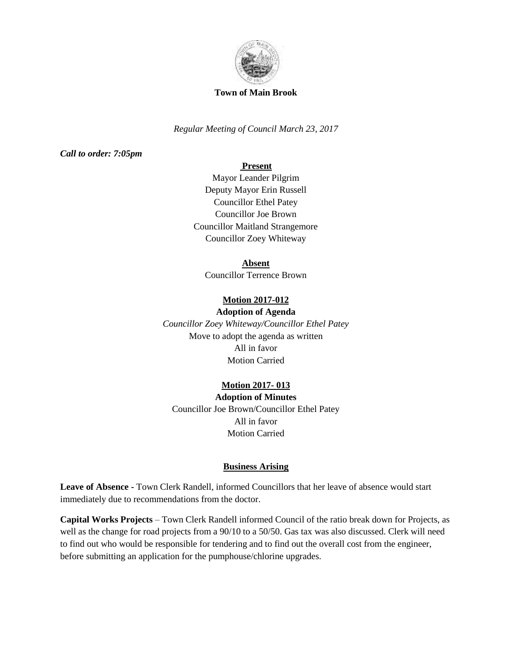

#### **Town of Main Brook**

*Regular Meeting of Council March 23, 2017*

*Call to order: 7:05pm*

# **Present**

Mayor Leander Pilgrim Deputy Mayor Erin Russell Councillor Ethel Patey Councillor Joe Brown Councillor Maitland Strangemore Councillor Zoey Whiteway

## **Absent**

Councillor Terrence Brown

# **Motion 2017-012**

# **Adoption of Agenda**

*Councillor Zoey Whiteway/Councillor Ethel Patey* Move to adopt the agenda as written All in favor Motion Carried

# **Motion 2017- 013**

**Adoption of Minutes** Councillor Joe Brown/Councillor Ethel Patey All in favor Motion Carried

## **Business Arising**

**Leave of Absence -** Town Clerk Randell, informed Councillors that her leave of absence would start immediately due to recommendations from the doctor.

**Capital Works Projects** – Town Clerk Randell informed Council of the ratio break down for Projects, as well as the change for road projects from a  $90/10$  to a  $50/50$ . Gas tax was also discussed. Clerk will need to find out who would be responsible for tendering and to find out the overall cost from the engineer, before submitting an application for the pumphouse/chlorine upgrades.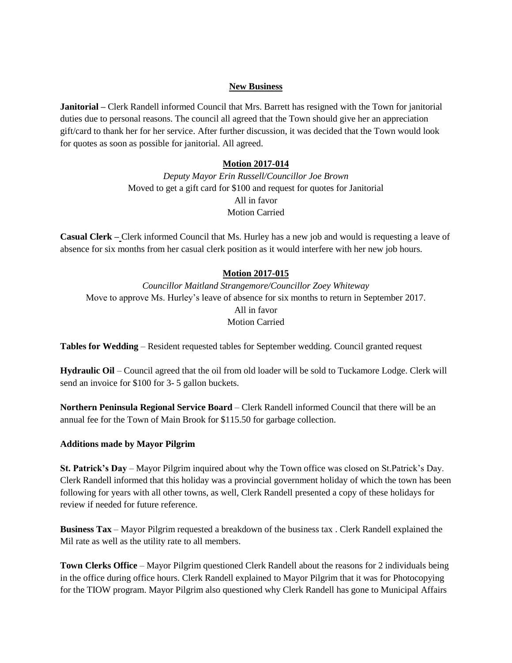## **New Business**

**Janitorial –** Clerk Randell informed Council that Mrs. Barrett has resigned with the Town for janitorial duties due to personal reasons. The council all agreed that the Town should give her an appreciation gift/card to thank her for her service. After further discussion, it was decided that the Town would look for quotes as soon as possible for janitorial. All agreed.

#### **Motion 2017-014**

*Deputy Mayor Erin Russell/Councillor Joe Brown* Moved to get a gift card for \$100 and request for quotes for Janitorial All in favor Motion Carried

**Casual Clerk –** Clerk informed Council that Ms. Hurley has a new job and would is requesting a leave of absence for six months from her casual clerk position as it would interfere with her new job hours.

#### **Motion 2017-015**

*Councillor Maitland Strangemore/Councillor Zoey Whiteway* Move to approve Ms. Hurley's leave of absence for six months to return in September 2017. All in favor Motion Carried

**Tables for Wedding** – Resident requested tables for September wedding. Council granted request

**Hydraulic Oil** – Council agreed that the oil from old loader will be sold to Tuckamore Lodge. Clerk will send an invoice for \$100 for 3- 5 gallon buckets.

**Northern Peninsula Regional Service Board** – Clerk Randell informed Council that there will be an annual fee for the Town of Main Brook for \$115.50 for garbage collection.

#### **Additions made by Mayor Pilgrim**

**St. Patrick's Day** – Mayor Pilgrim inquired about why the Town office was closed on St.Patrick's Day. Clerk Randell informed that this holiday was a provincial government holiday of which the town has been following for years with all other towns, as well, Clerk Randell presented a copy of these holidays for review if needed for future reference.

**Business Tax** – Mayor Pilgrim requested a breakdown of the business tax . Clerk Randell explained the Mil rate as well as the utility rate to all members.

**Town Clerks Office** – Mayor Pilgrim questioned Clerk Randell about the reasons for 2 individuals being in the office during office hours. Clerk Randell explained to Mayor Pilgrim that it was for Photocopying for the TIOW program. Mayor Pilgrim also questioned why Clerk Randell has gone to Municipal Affairs